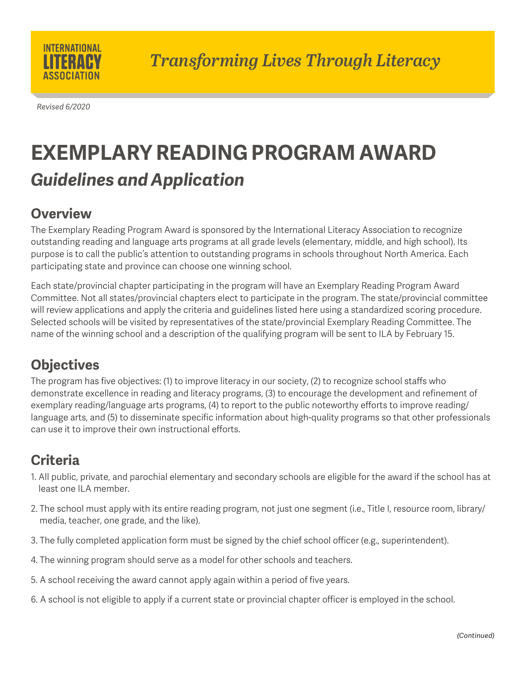

*Revised 6/2020*

# **EXEMPLARY READING PROGRAM AWARD** *Guidelines and Application*

### **Overview**

The Exemplary Reading Program Award is sponsored by the International Literacy Association to recognize outstanding reading and language arts programs at all grade levels (elementary, middle, and high school). Its purpose is to call the public's attention to outstanding programs in schools throughout North America. Each participating state and province can choose one winning school.

Each state/provincial chapter participating in the program will have an Exemplary Reading Program Award Committee. Not all states/provincial chapters elect to participate in the program. The state/provincial committee will review applications and apply the criteria and guidelines listed here using a standardized scoring procedure. Selected schools will be visited by representatives of the state/provincial Exemplary Reading Committee. The name of the winning school and a description of the qualifying program will be sent to ILA by February 15.

# **Objectives**

The program has five objectives: (1) to improve literacy in our society, (2) to recognize school staffs who demonstrate excellence in reading and literacy programs, (3) to encourage the development and refinement of exemplary reading/language arts programs, (4) to report to the public noteworthy efforts to improve reading/ language arts, and (5) to disseminate specific information about high-quality programs so that other professionals can use it to improve their own instructional efforts.

# **Criteria**

- 1. All public, private, and parochial elementary and secondary schools are eligible for the award if the school has at least one ILA member.
- 2. The school must apply with its entire reading program, not just one segment (i.e., Title I, resource room, library/ media, teacher, one grade, and the like).
- 3. The fully completed application form must be signed by the chief school officer (e.g., superintendent).
- 4. The winning program should serve as a model for other schools and teachers.
- 5. A school receiving the award cannot apply again within a period of five years.
- 6. A school is not eligible to apply if a current state or provincial chapter officer is employed in the school.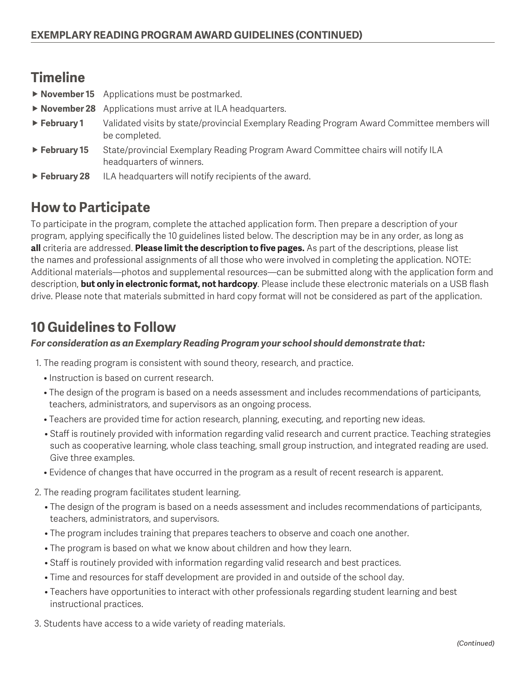### **Timeline**

- **November 15** Applications must be postmarked.
- **November 28** Applications must arrive at ILA headquarters.
- **February 1** Validated visits by state/provincial Exemplary Reading Program Award Committee members will be completed.
- ► February 15 State/provincial Exemplary Reading Program Award Committee chairs will notify ILA headquarters of winners.
- **February 28** ILA headquarters will notify recipients of the award.

## **How to Participate**

To participate in the program, complete the attached application form. Then prepare a description of your program, applying specifically the 10 guidelines listed below. The description may be in any order, as long as **all** criteria are addressed. **Please limit the description to five pages.** As part of the descriptions, please list the names and professional assignments of all those who were involved in completing the application. NOTE: Additional materials—photos and supplemental resources—can be submitted along with the application form and description, **but only in electronic format, not hardcopy**. Please include these electronic materials on a USB flash drive. Please note that materials submitted in hard copy format will not be considered as part of the application.

## **10 Guidelines to Follow**

#### *For consideration as an Exemplary Reading Program your school should demonstrate that:*

1. The reading program is consistent with sound theory, research, and practice.

- Instruction is based on current research.
- The design of the program is based on a needs assessment and includes recommendations of participants, teachers, administrators, and supervisors as an ongoing process.
- Teachers are provided time for action research, planning, executing, and reporting new ideas.
- Staff is routinely provided with information regarding valid research and current practice. Teaching strategies such as cooperative learning, whole class teaching, small group instruction, and integrated reading are used. Give three examples.
- Evidence of changes that have occurred in the program as a result of recent research is apparent.
- 2. The reading program facilitates student learning.
	- The design of the program is based on a needs assessment and includes recommendations of participants, teachers, administrators, and supervisors.
	- The program includes training that prepares teachers to observe and coach one another.
	- The program is based on what we know about children and how they learn.
	- Staff is routinely provided with information regarding valid research and best practices.
	- Time and resources for staff development are provided in and outside of the school day.
	- Teachers have opportunities to interact with other professionals regarding student learning and best instructional practices.
- 3. Students have access to a wide variety of reading materials.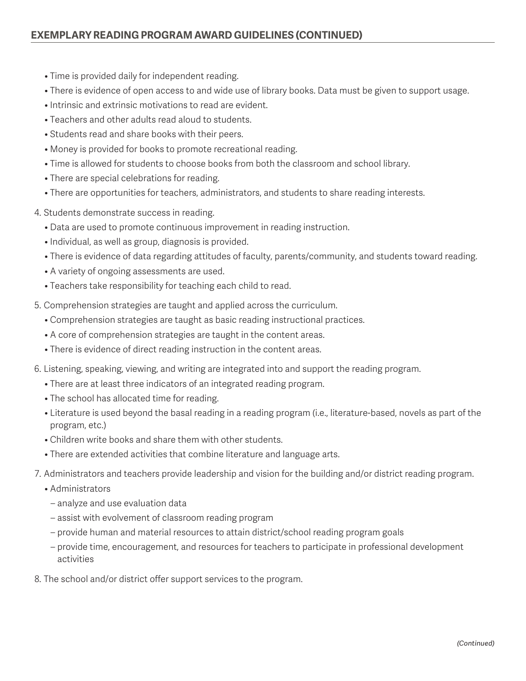- Time is provided daily for independent reading.
- There is evidence of open access to and wide use of library books. Data must be given to support usage.
- Intrinsic and extrinsic motivations to read are evident.
- Teachers and other adults read aloud to students.
- Students read and share books with their peers.
- Money is provided for books to promote recreational reading.
- Time is allowed for students to choose books from both the classroom and school library.
- There are special celebrations for reading.
- There are opportunities for teachers, administrators, and students to share reading interests.
- 4. Students demonstrate success in reading.
	- Data are used to promote continuous improvement in reading instruction.
	- Individual, as well as group, diagnosis is provided.
	- There is evidence of data regarding attitudes of faculty, parents/community, and students toward reading.
	- A variety of ongoing assessments are used.
	- Teachers take responsibility for teaching each child to read.
- 5. Comprehension strategies are taught and applied across the curriculum.
	- Comprehension strategies are taught as basic reading instructional practices.
	- A core of comprehension strategies are taught in the content areas.
	- There is evidence of direct reading instruction in the content areas.
- 6. Listening, speaking, viewing, and writing are integrated into and support the reading program.
	- There are at least three indicators of an integrated reading program.
	- The school has allocated time for reading.
	- Literature is used beyond the basal reading in a reading program (i.e., literature-based, novels as part of the program, etc.)
	- Children write books and share them with other students.
	- There are extended activities that combine literature and language arts.
- 7. Administrators and teachers provide leadership and vision for the building and/or district reading program.
	- Administrators
	- analyze and use evaluation data
	- assist with evolvement of classroom reading program
	- provide human and material resources to attain district/school reading program goals
	- provide time, encouragement, and resources for teachers to participate in professional development activities
- 8. The school and/or district offer support services to the program.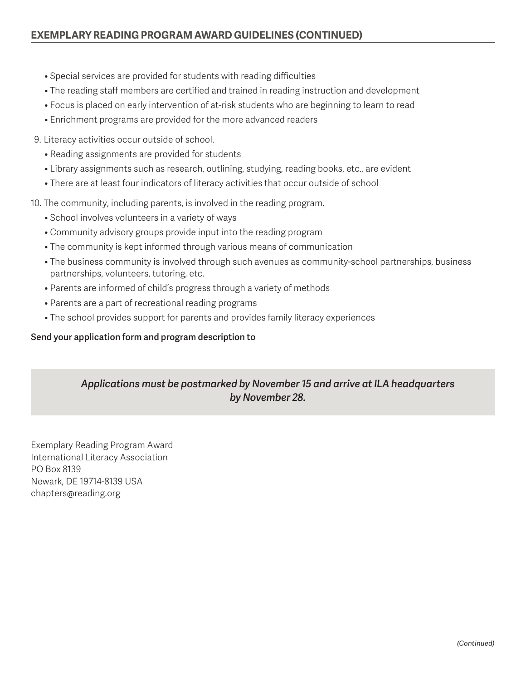- Special services are provided for students with reading difficulties
- The reading staff members are certified and trained in reading instruction and development
- Focus is placed on early intervention of at-risk students who are beginning to learn to read
- Enrichment programs are provided for the more advanced readers
- 9. Literacy activities occur outside of school.
	- Reading assignments are provided for students
	- Library assignments such as research, outlining, studying, reading books, etc., are evident
	- There are at least four indicators of literacy activities that occur outside of school
- 10. The community, including parents, is involved in the reading program.
	- School involves volunteers in a variety of ways
	- Community advisory groups provide input into the reading program
	- The community is kept informed through various means of communication
	- The business community is involved through such avenues as community-school partnerships, business partnerships, volunteers, tutoring, etc.
	- Parents are informed of child's progress through a variety of methods
	- Parents are a part of recreational reading programs
	- The school provides support for parents and provides family literacy experiences

#### **Send your application form and program description to**

### *Applications must be postmarked by November 15 and arrive at ILA headquarters by November 28.*

Exemplary Reading Program Award International Literacy Association PO Box 8139 Newark, DE 19714-8139 USA chapters@reading.org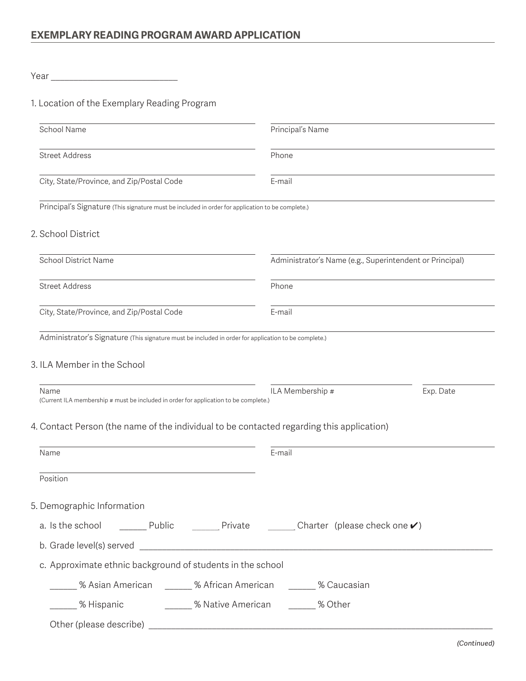### Year \_\_\_\_\_\_\_\_\_\_\_\_\_\_\_\_\_\_\_\_\_\_\_\_\_\_\_\_

### 1. Location of the Exemplary Reading Program

| School Name                                                                                                        | Principal's Name |                                                          |  |
|--------------------------------------------------------------------------------------------------------------------|------------------|----------------------------------------------------------|--|
| <b>Street Address</b>                                                                                              | Phone            |                                                          |  |
| City, State/Province, and Zip/Postal Code                                                                          | E-mail           |                                                          |  |
| Principal's Signature (This signature must be included in order for application to be complete.)                   |                  |                                                          |  |
| 2. School District                                                                                                 |                  |                                                          |  |
| <b>School District Name</b>                                                                                        |                  | Administrator's Name (e.g., Superintendent or Principal) |  |
| <b>Street Address</b>                                                                                              | Phone            |                                                          |  |
| City, State/Province, and Zip/Postal Code                                                                          | E-mail           |                                                          |  |
| Administrator's Signature (This signature must be included in order for application to be complete.)               |                  |                                                          |  |
| 3. ILA Member in the School                                                                                        |                  |                                                          |  |
|                                                                                                                    |                  |                                                          |  |
| Name<br>(Current ILA membership # must be included in order for application to be complete.)                       | ILA Membership # | Exp. Date                                                |  |
| 4. Contact Person (the name of the individual to be contacted regarding this application)                          |                  |                                                          |  |
|                                                                                                                    | E-mail           |                                                          |  |
| Name                                                                                                               |                  |                                                          |  |
| Position                                                                                                           |                  |                                                          |  |
| 5. Demographic Information                                                                                         |                  |                                                          |  |
| a. Is the school $\qquad \qquad$ Public $\qquad \qquad$ Private $\qquad \qquad$ Charter (please check one $\vee$ ) |                  |                                                          |  |
|                                                                                                                    |                  |                                                          |  |
| c. Approximate ethnic background of students in the school                                                         |                  |                                                          |  |
| ______ % Asian American     _____ % African American     _____ % Caucasian                                         |                  |                                                          |  |
| ______ % Hispanic _________ % Native American _______ % Other                                                      |                  |                                                          |  |
|                                                                                                                    |                  |                                                          |  |